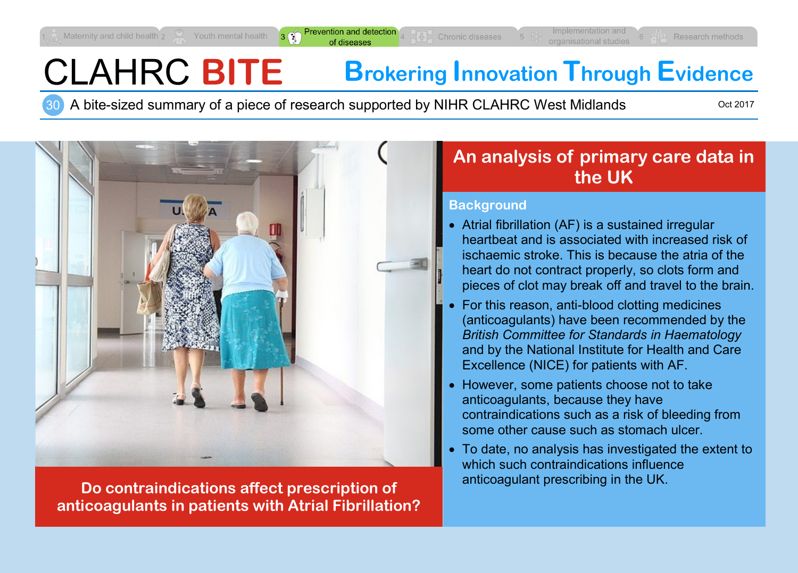revention and detectio of diseases

# CLAHRC **BITE Brokering Innovation Through Evidence**

30 A bite-sized summary of a piece of research supported by NIHR CLAHRC West Midlands

Oct 2017



**Do contraindications affect prescription of anticoagulant prescribing in the UK. anticoagulants in patients with Atrial Fibrillation?**

# **An analysis of primary care data in the UK**

#### **Background**

- Atrial fibrillation (AF) is a sustained irregular heartbeat and is associated with increased risk of ischaemic stroke. This is because the atria of the heart do not contract properly, so clots form and pieces of clot may break off and travel to the brain.
- For this reason, anti-blood clotting medicines (anticoagulants) have been recommended by the *British Committee for Standards in Haematology* and by the National Institute for Health and Care Excellence (NICE) for patients with AF.
- However, some patients choose not to take anticoagulants, because they have contraindications such as a risk of bleeding from some other cause such as stomach ulcer.
- To date, no analysis has investigated the extent to which such contraindications influence